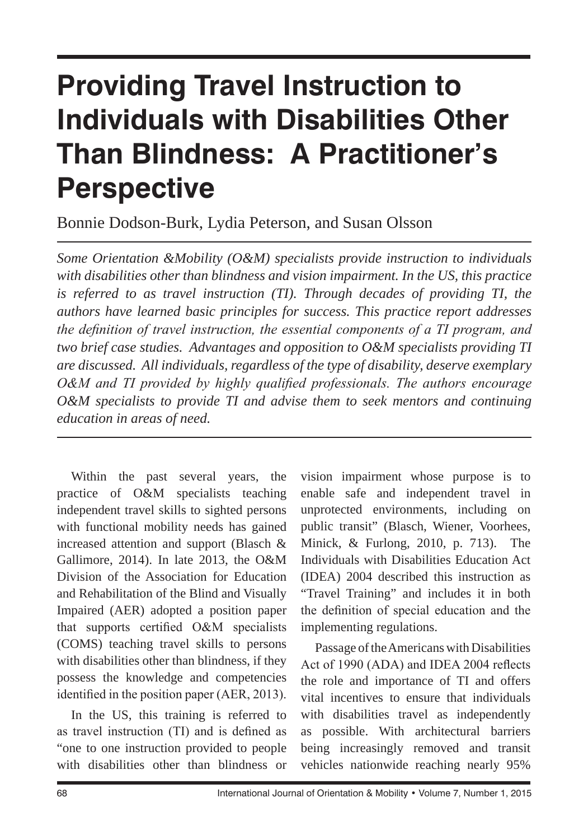# **Providing Travel Instruction to Individuals with Disabilities Other Than Blindness: A Practitioner's Perspective**

Bonnie Dodson-Burk, Lydia Peterson, and Susan Olsson

*Some Orientation &Mobility (O&M) specialists provide instruction to individuals with disabilities other than blindness and vision impairment. In the US, this practice is referred to as travel instruction (TI). Through decades of providing TI, the authors have learned basic principles for success. This practice report addresses the definition of travel instruction, the essential components of a TI program, and two brief case studies. Advantages and opposition to O&M specialists providing TI are discussed. All individuals, regardless of the type of disability, deserve exemplary O&M and TI provided by highly qualified professionals. The authors encourage O&M specialists to provide TI and advise them to seek mentors and continuing education in areas of need.*

Within the past several years, the practice of O&M specialists teaching independent travel skills to sighted persons with functional mobility needs has gained increased attention and support (Blasch & Gallimore, 2014). In late 2013, the O&M Division of the Association for Education and Rehabilitation of the Blind and Visually Impaired (AER) adopted a position paper that supports certified O&M specialists (COMS) teaching travel skills to persons with disabilities other than blindness, if they possess the knowledge and competencies identified in the position paper (AER, 2013).

In the US, this training is referred to as travel instruction (TI) and is defined as "one to one instruction provided to people with disabilities other than blindness or vision impairment whose purpose is to enable safe and independent travel in unprotected environments, including on public transit" (Blasch, Wiener, Voorhees, Minick, & Furlong, 2010, p. 713). The Individuals with Disabilities Education Act (IDEA) 2004 described this instruction as "Travel Training" and includes it in both the definition of special education and the implementing regulations.

Passage of the Americans with Disabilities Act of 1990 (ADA) and IDEA 2004 reflects the role and importance of TI and offers vital incentives to ensure that individuals with disabilities travel as independently as possible. With architectural barriers being increasingly removed and transit vehicles nationwide reaching nearly 95%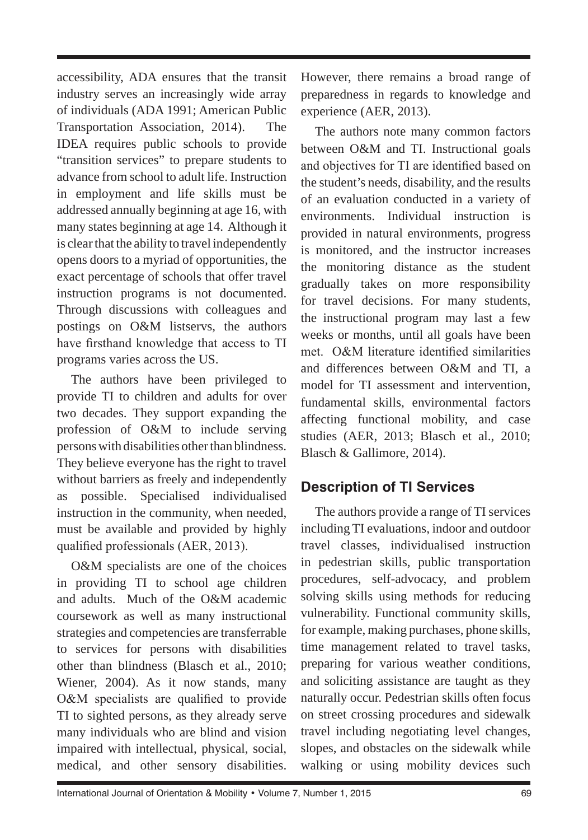accessibility, ADA ensures that the transit industry serves an increasingly wide array of individuals (ADA 1991; American Public Transportation Association, 2014). The IDEA requires public schools to provide "transition services" to prepare students to advance from school to adult life. Instruction in employment and life skills must be addressed annually beginning at age 16, with many states beginning at age 14. Although it is clear that the ability to travel independently opens doors to a myriad of opportunities, the exact percentage of schools that offer travel instruction programs is not documented. Through discussions with colleagues and postings on O&M listservs, the authors have firsthand knowledge that access to TI programs varies across the US.

The authors have been privileged to provide TI to children and adults for over two decades. They support expanding the profession of O&M to include serving persons with disabilities other than blindness. They believe everyone has the right to travel without barriers as freely and independently as possible. Specialised individualised instruction in the community, when needed, must be available and provided by highly qualified professionals (AER, 2013).

O&M specialists are one of the choices in providing TI to school age children and adults. Much of the O&M academic coursework as well as many instructional strategies and competencies are transferrable to services for persons with disabilities other than blindness (Blasch et al., 2010; Wiener, 2004). As it now stands, many O&M specialists are qualified to provide TI to sighted persons, as they already serve many individuals who are blind and vision impaired with intellectual, physical, social, medical, and other sensory disabilities. However, there remains a broad range of preparedness in regards to knowledge and experience (AER, 2013).

The authors note many common factors between O&M and TI. Instructional goals and objectives for TI are identified based on the student's needs, disability, and the results of an evaluation conducted in a variety of environments. Individual instruction is provided in natural environments, progress is monitored, and the instructor increases the monitoring distance as the student gradually takes on more responsibility for travel decisions. For many students, the instructional program may last a few weeks or months, until all goals have been met. O&M literature identified similarities and differences between  $\Omega \& M$  and TI, a model for TI assessment and intervention, fundamental skills, environmental factors affecting functional mobility, and case studies (AER, 2013; Blasch et al., 2010; Blasch & Gallimore, 2014).

## **Description of TI Services**

The authors provide a range of TI services including TI evaluations, indoor and outdoor travel classes, individualised instruction in pedestrian skills, public transportation procedures, self-advocacy, and problem solving skills using methods for reducing vulnerability. Functional community skills, for example, making purchases, phone skills, time management related to travel tasks, preparing for various weather conditions, and soliciting assistance are taught as they naturally occur. Pedestrian skills often focus on street crossing procedures and sidewalk travel including negotiating level changes, slopes, and obstacles on the sidewalk while walking or using mobility devices such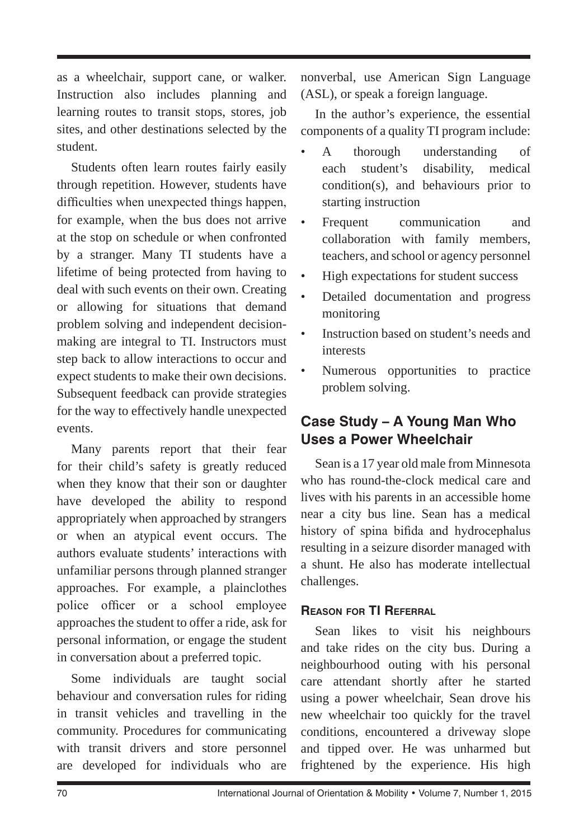as a wheelchair, support cane, or walker. Instruction also includes planning and learning routes to transit stops, stores, job sites, and other destinations selected by the student.

Students often learn routes fairly easily through repetition. However, students have difficulties when unexpected things happen, for example, when the bus does not arrive at the stop on schedule or when confronted by a stranger. Many TI students have a lifetime of being protected from having to deal with such events on their own. Creating or allowing for situations that demand problem solving and independent decisionmaking are integral to TI. Instructors must step back to allow interactions to occur and expect students to make their own decisions. Subsequent feedback can provide strategies for the way to effectively handle unexpected events.

Many parents report that their fear for their child's safety is greatly reduced when they know that their son or daughter have developed the ability to respond appropriately when approached by strangers or when an atypical event occurs. The authors evaluate students' interactions with unfamiliar persons through planned stranger approaches. For example, a plainclothes police officer or a school employee approaches the student to offer a ride, ask for personal information, or engage the student in conversation about a preferred topic.

Some individuals are taught social behaviour and conversation rules for riding in transit vehicles and travelling in the community. Procedures for communicating with transit drivers and store personnel are developed for individuals who are nonverbal, use American Sign Language (ASL), or speak a foreign language.

In the author's experience, the essential components of a quality TI program include:

- A thorough understanding of each student's disability, medical condition(s), and behaviours prior to starting instruction
- Frequent communication and collaboration with family members, teachers, and school or agency personnel
- High expectations for student success
- Detailed documentation and progress monitoring
- Instruction based on student's needs and interests
- Numerous opportunities to practice problem solving.

## **Case Study – A Young Man Who Uses a Power Wheelchair**

Sean is a 17 year old male from Minnesota who has round-the-clock medical care and lives with his parents in an accessible home near a city bus line. Sean has a medical history of spina bifida and hydrocephalus resulting in a seizure disorder managed with a shunt. He also has moderate intellectual challenges.

#### **Reason for TI Referral**

Sean likes to visit his neighbours and take rides on the city bus. During a neighbourhood outing with his personal care attendant shortly after he started using a power wheelchair, Sean drove his new wheelchair too quickly for the travel conditions, encountered a driveway slope and tipped over. He was unharmed but frightened by the experience. His high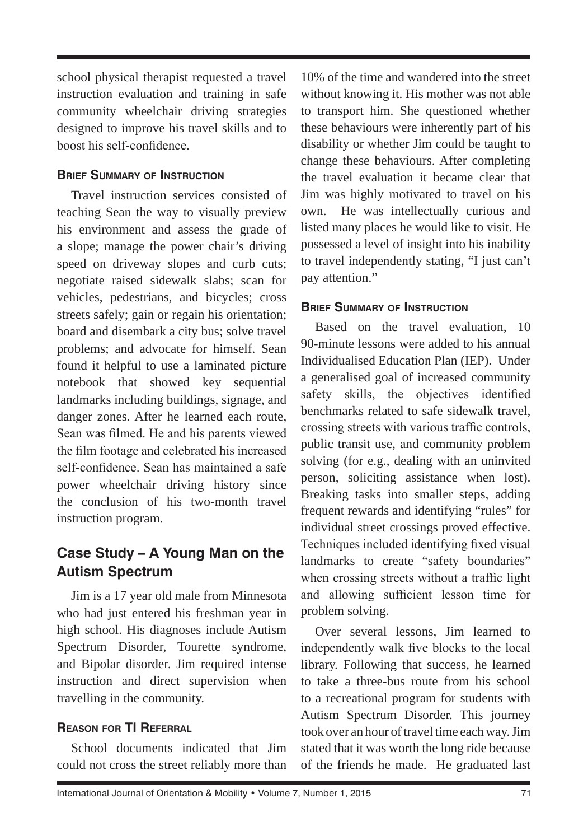school physical therapist requested a travel instruction evaluation and training in safe community wheelchair driving strategies designed to improve his travel skills and to boost his self-confidence.

#### **Brief Summary of Instruction**

Travel instruction services consisted of teaching Sean the way to visually preview his environment and assess the grade of a slope; manage the power chair's driving speed on driveway slopes and curb cuts; negotiate raised sidewalk slabs; scan for vehicles, pedestrians, and bicycles; cross streets safely; gain or regain his orientation; board and disembark a city bus; solve travel problems; and advocate for himself. Sean found it helpful to use a laminated picture notebook that showed key sequential landmarks including buildings, signage, and danger zones. After he learned each route, Sean was filmed. He and his parents viewed the film footage and celebrated his increased self-confidence. Sean has maintained a safe power wheelchair driving history since the conclusion of his two-month travel instruction program.

## **Case Study – A Young Man on the Autism Spectrum**

Jim is a 17 year old male from Minnesota who had just entered his freshman year in high school. His diagnoses include Autism Spectrum Disorder, Tourette syndrome, and Bipolar disorder. Jim required intense instruction and direct supervision when travelling in the community.

### **Reason for TI Referral**

School documents indicated that Jim could not cross the street reliably more than

10% of the time and wandered into the street without knowing it. His mother was not able to transport him. She questioned whether these behaviours were inherently part of his disability or whether Jim could be taught to change these behaviours. After completing the travel evaluation it became clear that Jim was highly motivated to travel on his own. He was intellectually curious and listed many places he would like to visit. He possessed a level of insight into his inability to travel independently stating, "I just can't pay attention."

#### **Brief Summary of Instruction**

Based on the travel evaluation, 10 90-minute lessons were added to his annual Individualised Education Plan (IEP). Under a generalised goal of increased community safety skills, the objectives identified benchmarks related to safe sidewalk travel, crossing streets with various traffic controls, public transit use, and community problem solving (for e.g., dealing with an uninvited person, soliciting assistance when lost). Breaking tasks into smaller steps, adding frequent rewards and identifying "rules" for individual street crossings proved effective. Techniques included identifying fixed visual landmarks to create "safety boundaries" when crossing streets without a traffic light and allowing sufficient lesson time for problem solving.

Over several lessons, Jim learned to independently walk five blocks to the local library. Following that success, he learned to take a three-bus route from his school to a recreational program for students with Autism Spectrum Disorder. This journey took over an hour of travel time each way. Jim stated that it was worth the long ride because of the friends he made. He graduated last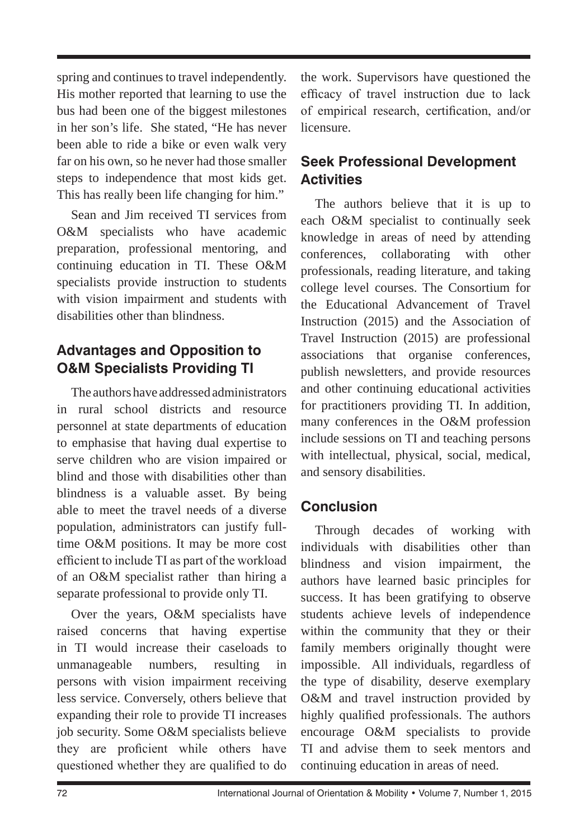spring and continues to travel independently. His mother reported that learning to use the bus had been one of the biggest milestones in her son's life. She stated, "He has never been able to ride a bike or even walk very far on his own, so he never had those smaller steps to independence that most kids get. This has really been life changing for him."

Sean and Jim received TI services from O&M specialists who have academic preparation, professional mentoring, and continuing education in TI. These O&M specialists provide instruction to students with vision impairment and students with disabilities other than blindness.

## **Advantages and Opposition to O&M Specialists Providing TI**

The authors have addressed administrators in rural school districts and resource personnel at state departments of education to emphasise that having dual expertise to serve children who are vision impaired or blind and those with disabilities other than blindness is a valuable asset. By being able to meet the travel needs of a diverse population, administrators can justify fulltime O&M positions. It may be more cost efficient to include TI as part of the workload of an O&M specialist rather than hiring a separate professional to provide only TI.

Over the years, O&M specialists have raised concerns that having expertise in TI would increase their caseloads to unmanageable numbers, resulting in persons with vision impairment receiving less service. Conversely, others believe that expanding their role to provide TI increases job security. Some O&M specialists believe they are proficient while others have questioned whether they are qualified to do the work. Supervisors have questioned the efficacy of travel instruction due to lack of empirical research, certification, and/or licensure.

## **Seek Professional Development Activities**

The authors believe that it is up to each O&M specialist to continually seek knowledge in areas of need by attending conferences, collaborating with other professionals, reading literature, and taking college level courses. The Consortium for the Educational Advancement of Travel Instruction (2015) and the Association of Travel Instruction (2015) are professional associations that organise conferences, publish newsletters, and provide resources and other continuing educational activities for practitioners providing TI. In addition, many conferences in the O&M profession include sessions on TI and teaching persons with intellectual, physical, social, medical, and sensory disabilities.

## **Conclusion**

Through decades of working with individuals with disabilities other than blindness and vision impairment, the authors have learned basic principles for success. It has been gratifying to observe students achieve levels of independence within the community that they or their family members originally thought were impossible. All individuals, regardless of the type of disability, deserve exemplary O&M and travel instruction provided by highly qualified professionals. The authors encourage O&M specialists to provide TI and advise them to seek mentors and continuing education in areas of need.